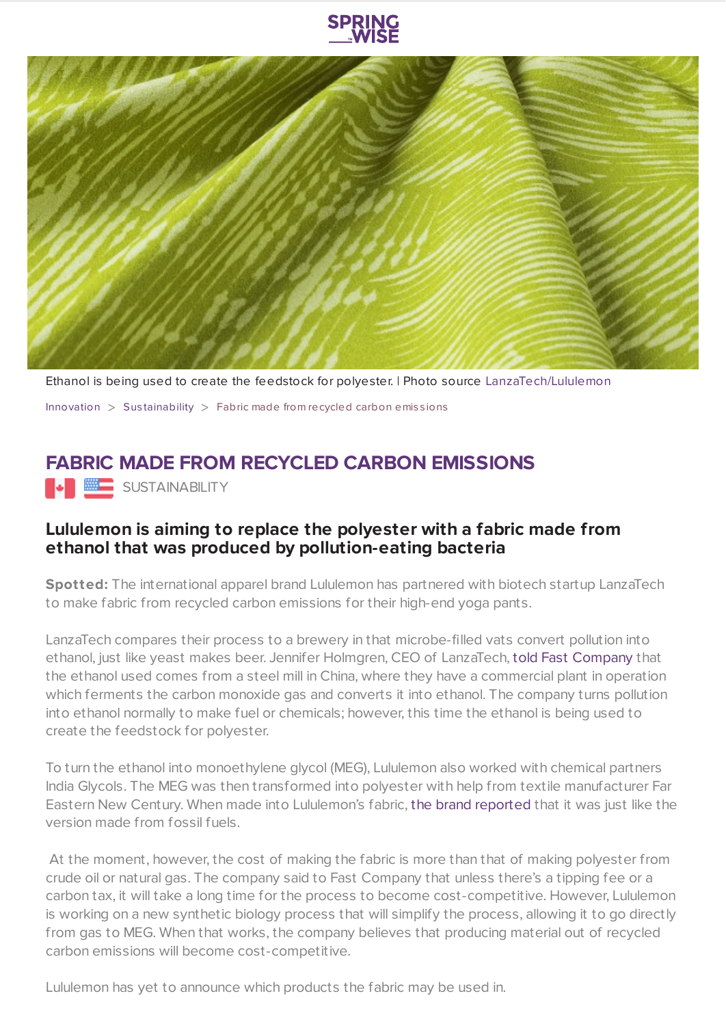



Ethanol is being used to create the feedstock for polyester. | Photo source [LanzaTech/Lululemon](https://www.lululemon.co.uk/en-gb/home)

[Innovation](https://www.springwise.com/search?type=innovation)  $>$  Sus[tainability](https://www.springwise.com/search?type=innovation§or=sustainability)  $>$  Fabric made from recycled carbon emissions

## **FABRIC MADE FROM RECYCLED CARBON EMISSIONS**

**SUSTAINABILITY** 

## **Lululemon is aiming to replace the polyester with a fabric made from ethanol that was produced by pollution-eating bacteria**

**Spotted:** The international apparel brand Lululemon has partnered with biotech startup LanzaTech to make fabric from recycled carbon emissions for their high-end yoga pants.

LanzaTech compares their process to a brewery in that microbe-filled vats convert pollution into ethanol, just like yeast makes beer. Jennifer Holmgren, CEO of LanzaTech, told Fast [Company](https://www.fastcompany.com/90655566/lululemon-is-experimenting-with-the-first-fabric-made-from-recycled-carbon-emissions) that the ethanol used comes from a steel mill in China, where they have a commercial plant in operation which ferments the carbon monoxide gas and converts it into ethanol. The company turns pollution into ethanol normally to make fuel or chemicals; however, this time the ethanol is being used to create the feedstock for polyester.

To turn the ethanol into monoethylene glycol (MEG), Lululemon also worked with chemical partners India Glycols. The MEG was then transformed into polyester with help from textile manufacturer Far Eastern New Century. When made into Lululemon's fabric, the brand [reported](https://www.fastcompany.com/90655566/lululemon-is-experimenting-with-the-first-fabric-made-from-recycled-carbon-emissions) that it was just like the version made from fossil fuels.

At the moment, however, the cost of making the fabric is more than that of making polyester from crude oil or natural gas. The company said to Fast Company that unless there's a tipping fee or a carbon tax, it will take a long time for the process to become cost-competitive. However, Lululemon is working on a new synthetic biology process that will simplify the process, allowing it to go directly from gas to MEG. When that works, the company believes that producing material out of recycled carbon emissions will become cost-competitive.

Lululemon has yet to announce which products the fabric may be used in.